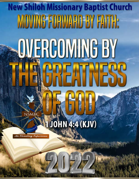# **New Shiloh Missionary Baptist Church** MOVING FORWARD BY FAITH: **OVERCOMING BY ICREATNESS JOHN 4:4 (KJV)** An Elevating Experien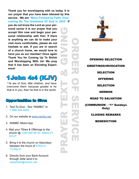**Thank you for worshipping with us today. It is our prayer that you have been blessed by this service . We are "Move Forward by Faith: Overcoming By The Greatness Of God In 2022" If** 

**you do not know the Lord as your personal savior it is our prayer that you accept Him now and begin your personal relationship with Him. If there is anything we can do to make your visit more comfortable, please do not hesitate to ask. If you are in search of a church home, we would love to have you as our member! Once again Thank You for Coming Up To Shiloh and Worshipping With Us! We pray that it has been an Elevating Experience!**

# 1John 4:4 (KJV)

<sup>4</sup> Ye are of God, little children, and have overcome them: because greater is he that is in you, than he that is in the world.

# Opportunities to Give:

- 1. Text-To-Give Text "NSMBC" to 1-888-364-4483
- [2](https://nsmbc.net). On our website at [www.nsmbc.net.](https://nsmbc.net)
- [3. NSMBC Miami App](https://nsmbc.net)
- 4. Mail your Tithes & Offerings to the church @ 1350 NW 95 St., Miami FL 33147
- 5. Bring it to the church on Saturdays between the hours of 9:00a.m.- 12:00p.m.
- 6. Directly from your Bank Account through Zelle send it to newshiloh@nsmbc.net



OPENING SELECTION GREETINGS/INVOCATION **SELECTION** OFFERING **SELECTION SERMON** ROAD TO SALVATION (COMMUNION - \*1st Sundays Only) CLOSING REMARKS BENEDICTION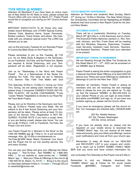# **THIS WEEK @ NSMBC**

Attention All Members! If you have been an active member of New Shiloh for 50 Years or more, please contact the Church office with your name by March 31<sup>st</sup>. Pastor Powell would like to recognize you during our 84<sup>th</sup> Church Anniversary.

BIRTHDAY SHOUT-OUTS To All Those who celebrated recent Birthdays and OTHER Special Events, Delores Clark, Beatrice Harris, Susan Permenter, Bobbie Lawhorn, Tracie Dukes, and others. We Celebrate with you whatever special event The LORD has allowed you to see.

Join us this and every Tuesday for our Noonday Prayer & Community Bible Study on the Prayer line.

Please remember to join us this Tuesday, @ 7:00 p.m. for our Bible Study & Baptism in the Sanctuary, on our Facebook, YouTube, and the Prayer line. Masks are required & Social Distancing, and your Temperature will be taken. Registration is not required.

Join us for "Wednesday in the Word with Pastor Powell" . This is a Rebroadcast of the Series Developing Our Faith. This week we are in Hebrews 11:5, Sermon Title: Faith That Walks with God

This Saturday (9:00a.m.-12:00p.m.) during our Drive Thru Giving, we are asking each member that can, please bring 3 Unexpired CANNED FOODS (NO PA-PER, PLASTIC, OR GLASS CONTAINERS) \*Fruits \*Juices \*Meats \*Vegetables to donate to our Hope Relief Food Bank Project.

Please Join us for Worship in the Sanctuary next Sunday, @ 10:00a.m. Please wear your Mask. We will adhere to the 6 feet Social Distancing and your temperature will be taken. Please arrive at least 15 minutes of the Service Time. Registration is NOT RE-QUIRED. PLEASE NOTE If you have a cough, fever, or you are feeling unwell, please stay home. You can join us @ 10:00a.m. LIVE on Facebook, YouTube, the Prayer Line and Zoom.

Join Pastor Powell for a 'Moment In the Word' on the 1490 AM WMBM app @ 7:00a.m. for a pre-recorded message. Also, @ 10:00a.m.simultaneously on YouTube @ NSN News Miami, Facebook Live, Zoom and the Prayer line for our live worship service, this and every Sunday.

You can pay your tithes and give your offerings the following ways: 1. Text-To-Give - Text "NSMBC" to 1-888-364- 4483 2. On our website at www.nsmbc.net. 3. "NSMBC Miami" app 4. Mail your Tithes & Offerings to the church @ 1350 NW 95 St, Miami, FL 33147 5. Bring it to the church on Saturdays between 9:00a.m.-12 noon 6. Through ZELLE to newshiloh@nsmbc.net.

# **YOUTH MINISTRY HAPPENINGS**

Attention all Parents and students! Next Sunday, March 27<sup>th</sup> during our 10:00a.m. Worship, The New Shiloh Education Scholarship Committee will be Highlighting all NSMBC students that have turned in their Report Cards for the Second Nine Weeks.

# **UPCOMING EVENTS**

There will be a Leadership Workshop on Tuesday, March 29<sup>th</sup> @ 5:30p.m. in the Sanctuary and on Zoom. The Executive Pastor Alphonso Jackson Jr., Rev. Kenneth Johnson, and Rev. Frank Dean will be meeting with ALL Ministers, Deacons, Deaconess, Trustees, Lead Servants, Assistant Lead Servants, Teachers, and Assistant Teachers. Please mark your calendars to be present.

# **IMPORTANT THINGS TO REMEMBER**

We are Reading through the Bible The Scriptures for this Week March  $21^{st} - 27^{th}$ , 2022 can be accessed on our NSMBC App & Website.

Pastor Powell is asking the entire congregation to give a Special Sacrificial Seed Offering of at least \$222.00 {above your Tithes and usual Offerings} to celebrate to blessings of Lord for the New Year "2022"

Attention all members; Pastor Powell is asking all members who are not receiving the text message alerts to please be sure you are signed up. To sign up Text the keyword 'NSMBC' to 662-200-4303 on your cellular Phone or you can login at www.mobiletext-alerts.com/NSMBC and sign up. (If you have any problem signing up, please call the church office.

If you have an emergency please call the church office. Our messages are checked daily. (305)835-8280 ext.

> 202 Sis. Natalie Heaven 201 Sis. Pshawn Washington 203 Sis. Annie Johnson

If you have not already done so, please visit the Appstore on your mobile device to download the "NSMBC Miami" App. You can receive all the latest news and events, give your tithes and offerings, receive push notifications and more all from your church app.

Remember to keep all those on our HEALING and RECOVERY LIST in your prayers and continue to reach out to EVERY NSMBC FAMILY MEM-BER that you know and have contact information for.

Join us Sunday Thru Saturday on the Prayer Line at 5:55a.m.

Remember to visit our Website, download the "NSMBC Miami" app & Follow Us On social media Facebook @NSMBC, Instagram and Twitter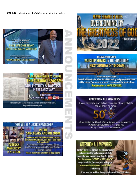@NSMBC Miami, YouTube @NSN News Miamifor updates.





Registration is not required.

THERE WILL BE A LEADERSHIP WORKSHOP

@ 5:30 P.M.

**IN THE SANCTUARY AND ON ZOOM** 

The Executive Pastor Alphonso Jackson Jr.,<br>Rev. Kenneth Johnson, and Rev. Frank Dean<br>will meet with

ALL Ministers, Deacons, Deaconess, Trustees, Lead Servants, Assistant Lead Servants, Teachers. and Assistant Teachers.

Please mark your calendars to be present.



# PLEASE JOIN US FOR **WORSHIP SERVICE IN THE SANCTUARY NEXT SUNDAY @ 10:00AM**

Please wear your Mask. We will adhere to the 6 feet Social Distancing and your temperature will be taken. Please arrive at least 15 minutes of the Service Time. **Registration is NOT REQUIRED.** 

# **ATTENTION ALL MEMBERS!**

If you have been an active member of New Shiloh for 50 Years or more.

please contact the Church office with your name by March 31st. Pastor Powell would like to recognize you during our 84th Church Anniversary.

# **ATTENTION ALL MEMBERS**

Pastor Powell is asking all members who are not receiving the text message alerts to please be sure you are signed up. To sign up Text the keyword 'NSMBC to 662-200-4303 on your cellular Phone or you can login at www.mobile-text-alerts.com/NSMBC and sign up.

(If you have any problem signing up, please call the church office.